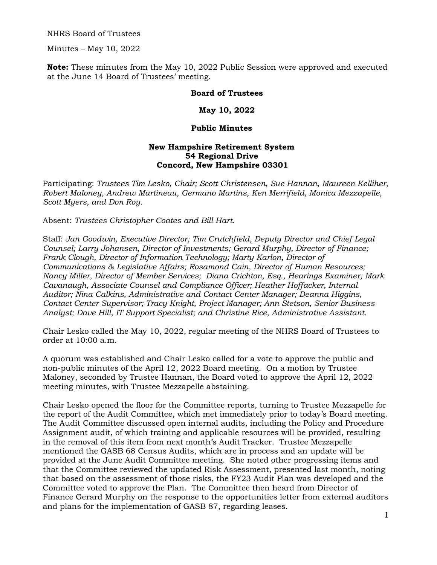NHRS Board of Trustees

Minutes – May 10, 2022

**Note:** These minutes from the May 10, 2022 Public Session were approved and executed at the June 14 Board of Trustees' meeting.

## **Board of Trustees**

## **May 10, 2022**

## **Public Minutes**

## **New Hampshire Retirement System 54 Regional Drive Concord, New Hampshire 03301**

Participating: *Trustees Tim Lesko, Chair; Scott Christensen, Sue Hannan, Maureen Kelliher, Robert Maloney, Andrew Martineau, Germano Martins, Ken Merrifield, Monica Mezzapelle, Scott Myers, and Don Roy.* 

Absent: *Trustees Christopher Coates and Bill Hart.*

Staff: *Jan Goodwin, Executive Director; Tim Crutchfield, Deputy Director and Chief Legal Counsel; Larry Johansen, Director of Investments; Gerard Murphy, Director of Finance; Frank Clough, Director of Information Technology; Marty Karlon, Director of Communications & Legislative Affairs; Rosamond Cain, Director of Human Resources; Nancy Miller, Director of Member Services; Diana Crichton, Esq., Hearings Examiner; Mark Cavanaugh, Associate Counsel and Compliance Officer; Heather Hoffacker, Internal Auditor; Nina Calkins, Administrative and Contact Center Manager; Deanna Higgins, Contact Center Supervisor; Tracy Knight, Project Manager; Ann Stetson, Senior Business Analyst; Dave Hill, IT Support Specialist; and Christine Rice, Administrative Assistant.* 

Chair Lesko called the May 10, 2022, regular meeting of the NHRS Board of Trustees to order at 10:00 a.m.

A quorum was established and Chair Lesko called for a vote to approve the public and non-public minutes of the April 12, 2022 Board meeting. On a motion by Trustee Maloney, seconded by Trustee Hannan, the Board voted to approve the April 12, 2022 meeting minutes, with Trustee Mezzapelle abstaining.

Chair Lesko opened the floor for the Committee reports, turning to Trustee Mezzapelle for the report of the Audit Committee, which met immediately prior to today's Board meeting. The Audit Committee discussed open internal audits, including the Policy and Procedure Assignment audit, of which training and applicable resources will be provided, resulting in the removal of this item from next month's Audit Tracker. Trustee Mezzapelle mentioned the GASB 68 Census Audits, which are in process and an update will be provided at the June Audit Committee meeting. She noted other progressing items and that the Committee reviewed the updated Risk Assessment, presented last month, noting that based on the assessment of those risks, the FY23 Audit Plan was developed and the Committee voted to approve the Plan. The Committee then heard from Director of Finance Gerard Murphy on the response to the opportunities letter from external auditors and plans for the implementation of GASB 87, regarding leases.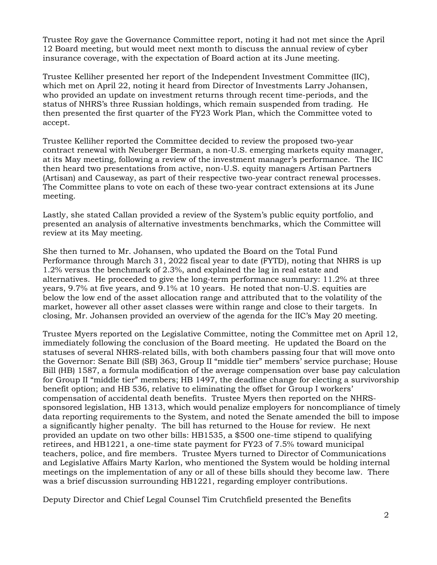Trustee Roy gave the Governance Committee report, noting it had not met since the April 12 Board meeting, but would meet next month to discuss the annual review of cyber insurance coverage, with the expectation of Board action at its June meeting.

Trustee Kelliher presented her report of the Independent Investment Committee (IIC), which met on April 22, noting it heard from Director of Investments Larry Johansen, who provided an update on investment returns through recent time-periods, and the status of NHRS's three Russian holdings, which remain suspended from trading. He then presented the first quarter of the FY23 Work Plan, which the Committee voted to accept.

Trustee Kelliher reported the Committee decided to review the proposed two-year contract renewal with Neuberger Berman, a non-U.S. emerging markets equity manager, at its May meeting, following a review of the investment manager's performance. The IIC then heard two presentations from active, non-U.S. equity managers Artisan Partners (Artisan) and Causeway, as part of their respective two-year contract renewal processes. The Committee plans to vote on each of these two-year contract extensions at its June meeting.

Lastly, she stated Callan provided a review of the System's public equity portfolio, and presented an analysis of alternative investments benchmarks, which the Committee will review at its May meeting.

She then turned to Mr. Johansen, who updated the Board on the Total Fund Performance through March 31, 2022 fiscal year to date (FYTD), noting that NHRS is up 1.2% versus the benchmark of 2.3%, and explained the lag in real estate and alternatives. He proceeded to give the long-term performance summary: 11.2% at three years, 9.7% at five years, and 9.1% at 10 years. He noted that non-U.S. equities are below the low end of the asset allocation range and attributed that to the volatility of the market, however all other asset classes were within range and close to their targets. In closing, Mr. Johansen provided an overview of the agenda for the IIC's May 20 meeting.

Trustee Myers reported on the Legislative Committee, noting the Committee met on April 12, immediately following the conclusion of the Board meeting. He updated the Board on the statuses of several NHRS-related bills, with both chambers passing four that will move onto the Governor: Senate Bill (SB) 363, Group II "middle tier" members' service purchase; House Bill (HB) 1587, a formula modification of the average compensation over base pay calculation for Group II "middle tier" members; HB 1497, the deadline change for electing a survivorship benefit option; and HB 536, relative to eliminating the offset for Group I workers' compensation of accidental death benefits. Trustee Myers then reported on the NHRSsponsored legislation, HB 1313, which would penalize employers for noncompliance of timely data reporting requirements to the System, and noted the Senate amended the bill to impose a significantly higher penalty. The bill has returned to the House for review. He next provided an update on two other bills: HB1535, a \$500 one-time stipend to qualifying retirees, and HB1221, a one-time state payment for FY23 of 7.5% toward municipal teachers, police, and fire members. Trustee Myers turned to Director of Communications and Legislative Affairs Marty Karlon, who mentioned the System would be holding internal meetings on the implementation of any or all of these bills should they become law. There was a brief discussion surrounding HB1221, regarding employer contributions.

Deputy Director and Chief Legal Counsel Tim Crutchfield presented the Benefits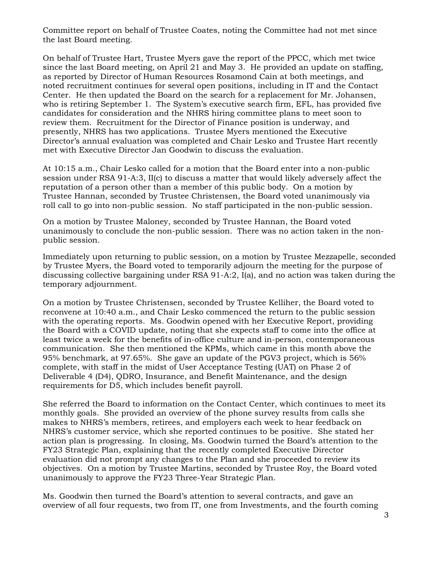Committee report on behalf of Trustee Coates, noting the Committee had not met since the last Board meeting.

On behalf of Trustee Hart, Trustee Myers gave the report of the PPCC, which met twice since the last Board meeting, on April 21 and May 3. He provided an update on staffing, as reported by Director of Human Resources Rosamond Cain at both meetings, and noted recruitment continues for several open positions, including in IT and the Contact Center. He then updated the Board on the search for a replacement for Mr. Johansen, who is retiring September 1. The System's executive search firm, EFL, has provided five candidates for consideration and the NHRS hiring committee plans to meet soon to review them. Recruitment for the Director of Finance position is underway, and presently, NHRS has two applications. Trustee Myers mentioned the Executive Director's annual evaluation was completed and Chair Lesko and Trustee Hart recently met with Executive Director Jan Goodwin to discuss the evaluation.

At 10:15 a.m., Chair Lesko called for a motion that the Board enter into a non-public session under RSA 91-A:3, II(c) to discuss a matter that would likely adversely affect the reputation of a person other than a member of this public body. On a motion by Trustee Hannan, seconded by Trustee Christensen, the Board voted unanimously via roll call to go into non-public session. No staff participated in the non-public session.

On a motion by Trustee Maloney, seconded by Trustee Hannan, the Board voted unanimously to conclude the non-public session. There was no action taken in the nonpublic session.

Immediately upon returning to public session, on a motion by Trustee Mezzapelle, seconded by Trustee Myers, the Board voted to temporarily adjourn the meeting for the purpose of discussing collective bargaining under RSA 91-A:2, I(a), and no action was taken during the temporary adjournment.

On a motion by Trustee Christensen, seconded by Trustee Kelliher, the Board voted to reconvene at 10:40 a.m., and Chair Lesko commenced the return to the public session with the operating reports. Ms. Goodwin opened with her Executive Report, providing the Board with a COVID update, noting that she expects staff to come into the office at least twice a week for the benefits of in-office culture and in-person, contemporaneous communication. She then mentioned the KPMs, which came in this month above the 95% benchmark, at 97.65%. She gave an update of the PGV3 project, which is 56% complete, with staff in the midst of User Acceptance Testing (UAT) on Phase 2 of Deliverable 4 (D4), QDRO, Insurance, and Benefit Maintenance, and the design requirements for D5, which includes benefit payroll.

She referred the Board to information on the Contact Center, which continues to meet its monthly goals. She provided an overview of the phone survey results from calls she makes to NHRS's members, retirees, and employers each week to hear feedback on NHRS's customer service, which she reported continues to be positive. She stated her action plan is progressing. In closing, Ms. Goodwin turned the Board's attention to the FY23 Strategic Plan, explaining that the recently completed Executive Director evaluation did not prompt any changes to the Plan and she proceeded to review its objectives. On a motion by Trustee Martins, seconded by Trustee Roy, the Board voted unanimously to approve the FY23 Three-Year Strategic Plan.

Ms. Goodwin then turned the Board's attention to several contracts, and gave an overview of all four requests, two from IT, one from Investments, and the fourth coming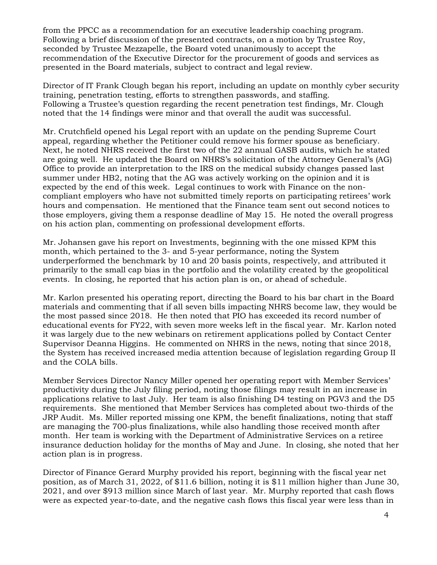from the PPCC as a recommendation for an executive leadership coaching program. Following a brief discussion of the presented contracts, on a motion by Trustee Roy, seconded by Trustee Mezzapelle, the Board voted unanimously to accept the recommendation of the Executive Director for the procurement of goods and services as presented in the Board materials, subject to contract and legal review.

Director of IT Frank Clough began his report, including an update on monthly cyber security training, penetration testing, efforts to strengthen passwords, and staffing. Following a Trustee's question regarding the recent penetration test findings, Mr. Clough noted that the 14 findings were minor and that overall the audit was successful.

Mr. Crutchfield opened his Legal report with an update on the pending Supreme Court appeal, regarding whether the Petitioner could remove his former spouse as beneficiary. Next, he noted NHRS received the first two of the 22 annual GASB audits, which he stated are going well. He updated the Board on NHRS's solicitation of the Attorney General's (AG) Office to provide an interpretation to the IRS on the medical subsidy changes passed last summer under HB2, noting that the AG was actively working on the opinion and it is expected by the end of this week. Legal continues to work with Finance on the noncompliant employers who have not submitted timely reports on participating retirees' work hours and compensation. He mentioned that the Finance team sent out second notices to those employers, giving them a response deadline of May 15. He noted the overall progress on his action plan, commenting on professional development efforts.

Mr. Johansen gave his report on Investments, beginning with the one missed KPM this month, which pertained to the 3- and 5-year performance, noting the System underperformed the benchmark by 10 and 20 basis points, respectively, and attributed it primarily to the small cap bias in the portfolio and the volatility created by the geopolitical events. In closing, he reported that his action plan is on, or ahead of schedule.

Mr. Karlon presented his operating report, directing the Board to his bar chart in the Board materials and commenting that if all seven bills impacting NHRS become law, they would be the most passed since 2018. He then noted that PIO has exceeded its record number of educational events for FY22, with seven more weeks left in the fiscal year. Mr. Karlon noted it was largely due to the new webinars on retirement applications polled by Contact Center Supervisor Deanna Higgins. He commented on NHRS in the news, noting that since 2018, the System has received increased media attention because of legislation regarding Group II and the COLA bills.

Member Services Director Nancy Miller opened her operating report with Member Services' productivity during the July filing period, noting those filings may result in an increase in applications relative to last July. Her team is also finishing D4 testing on PGV3 and the D5 requirements. She mentioned that Member Services has completed about two-thirds of the JRP Audit. Ms. Miller reported missing one KPM, the benefit finalizations, noting that staff are managing the 700-plus finalizations, while also handling those received month after month. Her team is working with the Department of Administrative Services on a retiree insurance deduction holiday for the months of May and June. In closing, she noted that her action plan is in progress.

Director of Finance Gerard Murphy provided his report, beginning with the fiscal year net position, as of March 31, 2022, of \$11.6 billion, noting it is \$11 million higher than June 30, 2021, and over \$913 million since March of last year. Mr. Murphy reported that cash flows were as expected year-to-date, and the negative cash flows this fiscal year were less than in